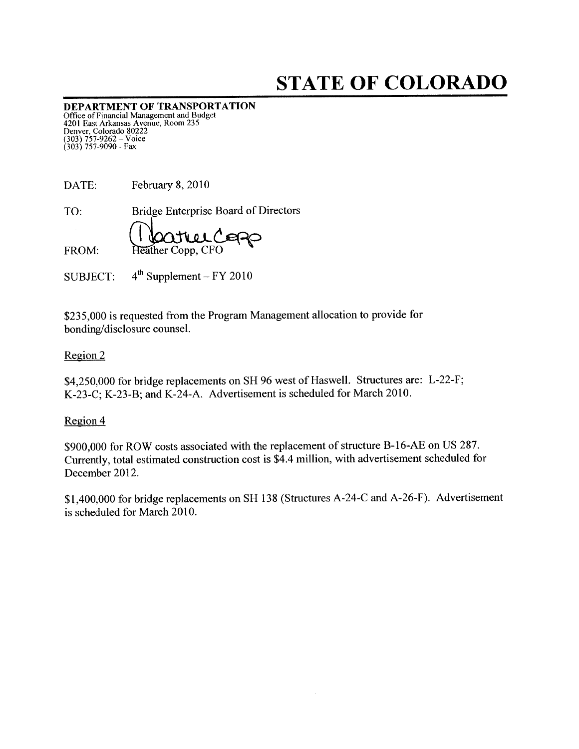# STATE OF COLORADO

DEPARTMENT OF TRANSPORTATION Office of Financial Management and Budget 4201 Fast Arkansas Avenue, Room 235 Denver, Colorado 80222<br>(303) 757-9262 – Voice (303) 757-9090 - Fax

| DATE: | February 8, 2010                            |
|-------|---------------------------------------------|
| TO:   | <b>Bridge Enterprise Board of Directors</b> |
|       | Reather Copp, CFO                           |
| FROM: |                                             |

SUBJECT:  $4^{th}$  Supplement – FY 2010

\$235,000 is requested from the Program Management allocation to provide for bonding/disclosure counsel.

#### Region 2

\$4,250,000 for bridge replacements on SH 96 west of Haswell. Structures are: L-22-F; K-23-C; K-23-B; and K-24-A. Advertisement is scheduled for March 2010.

#### Region 4

\$900,000 for ROW costs associated with the replacement of structure B-16-AE on US 287. Currently, total estimated construction cost is \$4.4 million, with advertisement scheduled for December 2012.

\$1,400,000 for bridge replacements on SH 138 (Structures A-24-C and A-26-F). Advertisement is scheduled for March 2010.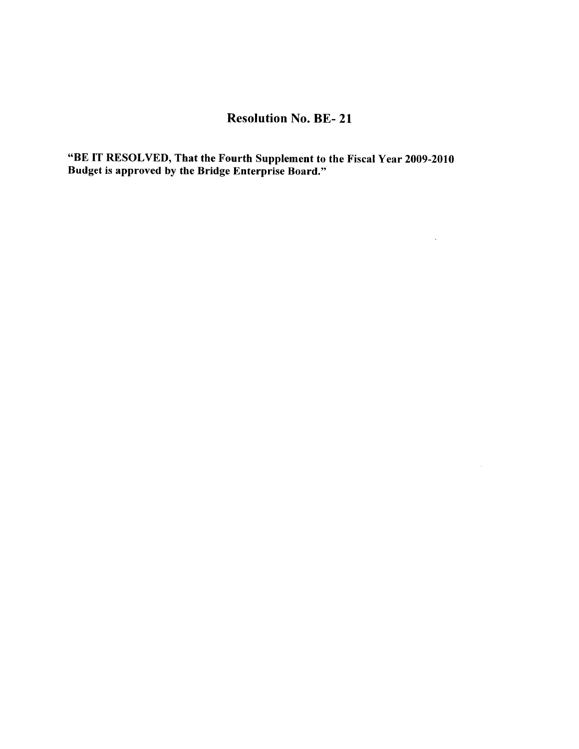## Resolution No. BE- 21

 $\mathcal{L}^{\text{max}}_{\text{max}}$  .

"BE IT RESOLVED, That the Fourth Supplement to the Fiscal Year 2009-2010 Budget is approved by the Bridge Enterprise Board."